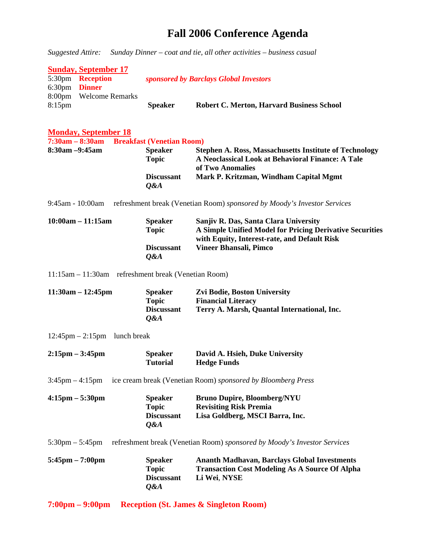## **Fall 2006 Conference Agenda**

*Suggested Attire: Sunday Dinner – coat and tie, all other activities – business casual* 

|                 | <b>Sunday, September 17</b> |                |                                                  |
|-----------------|-----------------------------|----------------|--------------------------------------------------|
|                 | 5:30pm <b>Reception</b>     |                | sponsored by Barclays Global Investors           |
| $6:30pm$ Dinner |                             |                |                                                  |
|                 | 8:00pm Welcome Remarks      |                |                                                  |
| $8:15$ pm       |                             | <b>Speaker</b> | <b>Robert C. Merton, Harvard Business School</b> |

| <b>Monday, September 18</b>                                                            |                                                              |                                                                                                                                                   |  |  |  |
|----------------------------------------------------------------------------------------|--------------------------------------------------------------|---------------------------------------------------------------------------------------------------------------------------------------------------|--|--|--|
| 7:30am - 8:30am Breakfast (Venetian Room)                                              |                                                              |                                                                                                                                                   |  |  |  |
| 8:30am -9:45am                                                                         | <b>Speaker</b><br><b>Topic</b>                               | <b>Stephen A. Ross, Massachusetts Institute of Technology</b><br>A Neoclassical Look at Behavioral Finance: A Tale<br>of Two Anomalies            |  |  |  |
|                                                                                        | <b>Discussant</b><br>Q&A                                     | Mark P. Kritzman, Windham Capital Mgmt                                                                                                            |  |  |  |
| 9:45am - 10:00am                                                                       |                                                              | refreshment break (Venetian Room) sponsored by Moody's Investor Services                                                                          |  |  |  |
| $10:00am - 11:15am$                                                                    | <b>Speaker</b><br><b>Topic</b>                               | Sanjiv R. Das, Santa Clara University<br>A Simple Unified Model for Pricing Derivative Securities<br>with Equity, Interest-rate, and Default Risk |  |  |  |
|                                                                                        | <b>Discussant</b><br>Q&A                                     | Vineer Bhansali, Pimco                                                                                                                            |  |  |  |
| 11:15am - 11:30am refreshment break (Venetian Room)                                    |                                                              |                                                                                                                                                   |  |  |  |
| $11:30am - 12:45pm$                                                                    | <b>Speaker</b><br><b>Topic</b><br><b>Discussant</b><br>Q&A   | Zvi Bodie, Boston University<br><b>Financial Literacy</b><br>Terry A. Marsh, Quantal International, Inc.                                          |  |  |  |
| $12:45 \text{pm} - 2:15 \text{pm}$ lunch break                                         |                                                              |                                                                                                                                                   |  |  |  |
| $2:15 \text{pm} - 3:45 \text{pm}$                                                      | <b>Speaker</b><br><b>Tutorial</b>                            | David A. Hsieh, Duke University<br><b>Hedge Funds</b>                                                                                             |  |  |  |
| $3:45$ pm $-4:15$ pm                                                                   | ice cream break (Venetian Room) sponsored by Bloomberg Press |                                                                                                                                                   |  |  |  |
| $4:15 \text{pm} - 5:30 \text{pm}$                                                      | <b>Speaker</b><br><b>Topic</b><br><b>Discussant</b><br>Q&A   | <b>Bruno Dupire, Bloomberg/NYU</b><br><b>Revisiting Risk Premia</b><br>Lisa Goldberg, MSCI Barra, Inc.                                            |  |  |  |
| $5:30 \text{pm} - 5:45 \text{pm}$                                                      |                                                              | refreshment break (Venetian Room) sponsored by Moody's Investor Services                                                                          |  |  |  |
| $5:45\text{pm} - 7:00\text{pm}$                                                        | <b>Speaker</b><br><b>Topic</b><br><b>Discussant</b><br>Q&A   | <b>Ananth Madhavan, Barclays Global Investments</b><br><b>Transaction Cost Modeling As A Source Of Alpha</b><br>Li Wei, NYSE                      |  |  |  |
| $7:00 \text{pm} - 9:00 \text{pm}$<br><b>Reception (St. James &amp; Singleton Room)</b> |                                                              |                                                                                                                                                   |  |  |  |